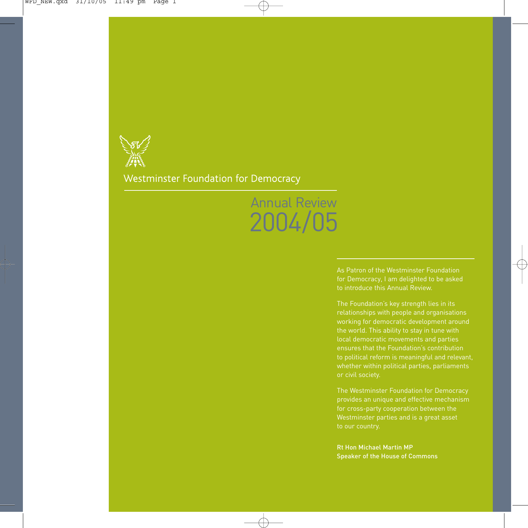

#### Westminster Foundation for Democracy

# Annual Review 2004/05

As Patron of the Westminster Foundation to introduce this Annual Review.

The Foundation's key strength lies in its relationships with people and organisations local democratic movements and parties ensures that the Foundation's contribution or civil society.

The Westminster Foundation for Democracy provides an unique and effective mechanism

Rt Hon Michael Martin MP Speaker of the House of Commons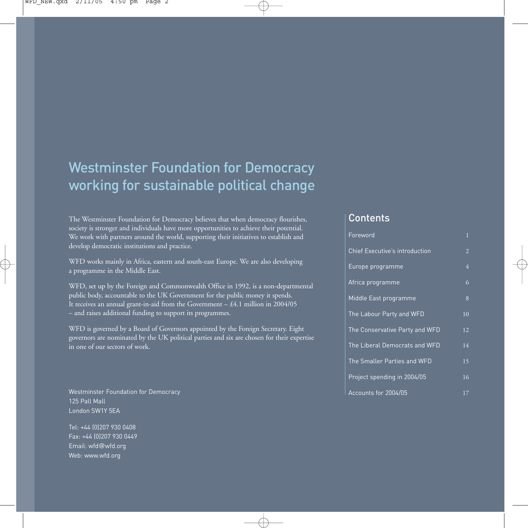### Westminster Foundation for Democracy working for sustainable political change

The Westminster Foundation for Democracy believes that when democracy flourishes, society is stronger and individuals have more opportunities to achieve their potential. We work with partners around the world, supporting their initiatives to establish and develop democratic institutions and practice.

WFD works mainly in Africa, eastern and south-east Europe. We are also developing a programme in the Middle East.

WFD, set up by the Foreign and Commonwealth Office in 1992, is a non-departmental public body, accountable to the UK Government for the public money it spends. It receives an annual grant-in-aid from the Government  $- £4.1$  million in 2004/05 – and raises additional funding to support its programmes.

WFD is governed by a Board of Governors appointed by the Foreign Secretary. Eight governors are nominated by the UK political parties and six are chosen for their expertise in one of our sectors of work.

Westminster Foundation for Democracy 125 Pall Mall London SW1Y 5EA

Tel: +44 (0)207 930 0408 Fax: +44 (0)207 930 0449 Email: wfd@wfd.org Web: www.wfd.org

#### **Contents**

| Foreword                              | $\mathbf{1}$   |
|---------------------------------------|----------------|
| <b>Chief Executive's introduction</b> | $\overline{2}$ |
| Europe programme                      | $\overline{4}$ |
| Africa programme                      | 6              |
| Middle East programme                 | 8              |
| The Labour Party and WFD              | 10             |
| The Conservative Party and WFD        | 12             |
| The Liberal Democrats and WFD         | 14             |
| The Smaller Parties and WFD           | 15             |
| Project spending in 2004/05           | 16             |
| Accounts for 2004/05                  | 17             |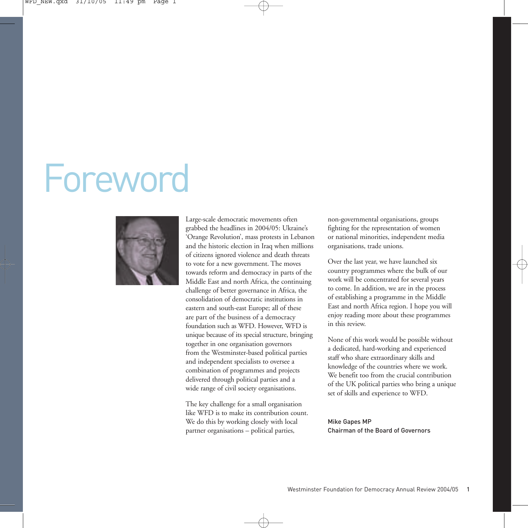# Foreword



Large-scale democratic movements often grabbed the headlines in 2004/05: Ukraine's 'Orange Revolution', mass protests in Lebanon and the historic election in Iraq when millions of citizens ignored violence and death threats to vote for a new government. The moves towards reform and democracy in parts of the Middle East and north Africa, the continuing challenge of better governance in Africa, the consolidation of democratic institutions in eastern and south-east Europe; all of these are part of the business of a democracy foundation such as WFD. However, WFD is unique because of its special structure, bringing together in one organisation governors from the Westminster-based political parties and independent specialists to oversee a combination of programmes and projects delivered through political parties and a wide range of civil society organisations.

The key challenge for a small organisation like WFD is to make its contribution count. We do this by working closely with local partner organisations – political parties,

non-governmental organisations, groups fighting for the representation of women or national minorities, independent media organisations, trade unions.

Over the last year, we have launched six country programmes where the bulk of our work will be concentrated for several years to come. In addition, we are in the process of establishing a programme in the Middle East and north Africa region. I hope you will enjoy reading more about these programmes in this review.

None of this work would be possible without a dedicated, hard-working and experienced staff who share extraordinary skills and knowledge of the countries where we work. We benefit too from the crucial contribution of the UK political parties who bring a unique set of skills and experience to WFD.

Mike Gapes MP Chairman of the Board of Governors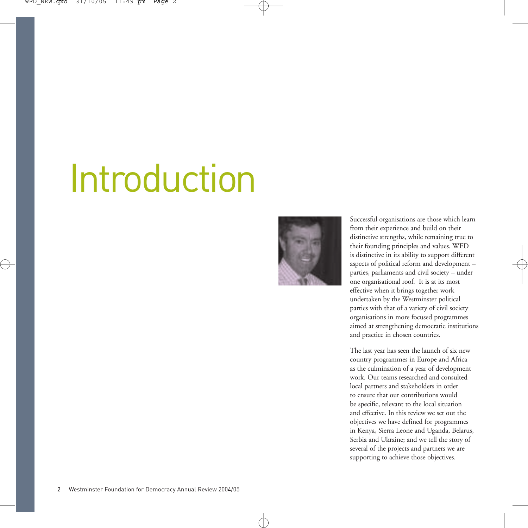# Introduction



Successful organisations are those which learn from their experience and build on their distinctive strengths, while remaining true to their founding principles and values. WFD is distinctive in its ability to support different aspects of political reform and development – parties, parliaments and civil society – under one organisational roof. It is at its most effective when it brings together work undertaken by the Westminster political parties with that of a variety of civil society organisations in more focused programmes aimed at strengthening democratic institutions and practice in chosen countries.

The last year has seen the launch of six new country programmes in Europe and Africa as the culmination of a year of development work. Our teams researched and consulted local partners and stakeholders in order to ensure that our contributions would be specific, relevant to the local situation and effective. In this review we set out the objectives we have defined for programmes in Kenya, Sierra Leone and Uganda, Belarus, Serbia and Ukraine; and we tell the story of several of the projects and partners we are supporting to achieve those objectives.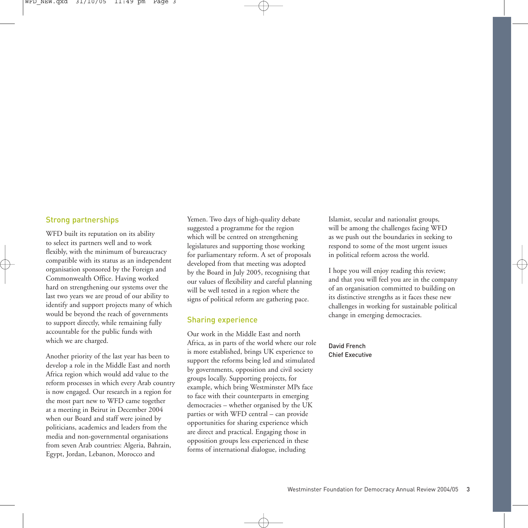#### Strong partnerships

WFD built its reputation on its ability to select its partners well and to work flexibly, with the minimum of bureaucracy compatible with its status as an independent organisation sponsored by the Foreign and Commonwealth Office. Having worked hard on strengthening our systems over the last two years we are proud of our ability to identify and support projects many of which would be beyond the reach of governments to support directly, while remaining fully accountable for the public funds with which we are charged.

Another priority of the last year has been to develop a role in the Middle East and north Africa region which would add value to the reform processes in which every Arab country is now engaged. Our research in a region for the most part new to WFD came together at a meeting in Beirut in December 2004 when our Board and staff were joined by politicians, academics and leaders from the media and non-governmental organisations from seven Arab countries: Algeria, Bahrain, Egypt, Jordan, Lebanon, Morocco and

Yemen. Two days of high-quality debate suggested a programme for the region which will be centred on strengthening legislatures and supporting those working for parliamentary reform. A set of proposals developed from that meeting was adopted by the Board in July 2005, recognising that our values of flexibility and careful planning will be well tested in a region where the signs of political reform are gathering pace.

#### Sharing experience

Our work in the Middle East and north Africa, as in parts of the world where our role is more established, brings UK experience to support the reforms being led and stimulated by governments, opposition and civil society groups locally. Supporting projects, for example, which bring Westminster MPs face to face with their counterparts in emerging democracies – whether organised by the UK parties or with WFD central – can provide opportunities for sharing experience which are direct and practical. Engaging those in opposition groups less experienced in these forms of international dialogue, including

Islamist, secular and nationalist groups, will be among the challenges facing WFD as we push out the boundaries in seeking to respond to some of the most urgent issues in political reform across the world.

I hope you will enjoy reading this review; and that you will feel you are in the company of an organisation committed to building on its distinctive strengths as it faces these new challenges in working for sustainable political change in emerging democracies.

#### David French Chief Executive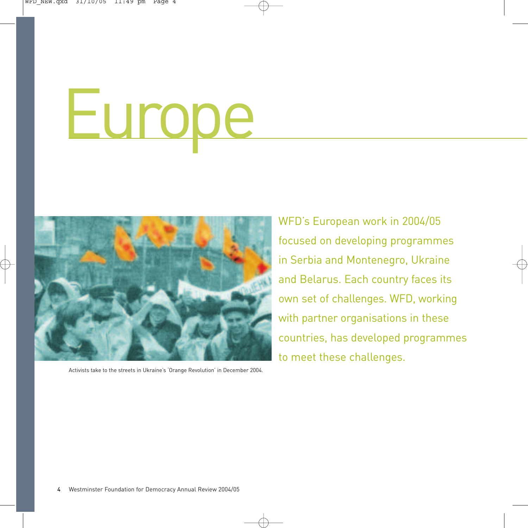# Europe



Activists take to the streets in Ukraine's 'Orange Revolution' in December 2004.

WFD's European work in 2004/05 focused on developing programmes in Serbia and Montenegro, Ukraine and Belarus. Each country faces its own set of challenges. WFD, working with partner organisations in these countries, has developed programmes to meet these challenges.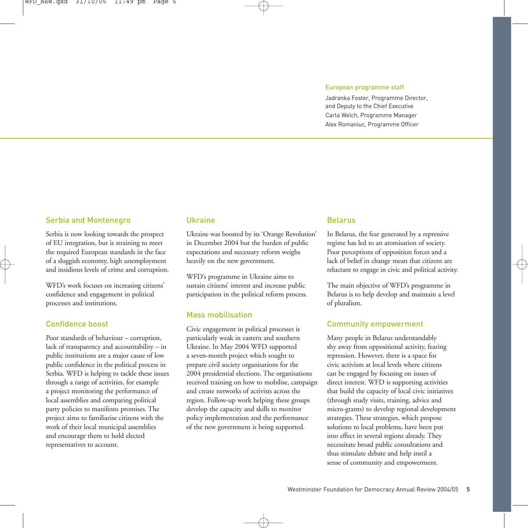#### European programme staff

Jadranka Foster, Programme Director, and Deputy to the Chief Executive Carla Welch, Programme Manager Alex Romaniuc, Programme Officer

#### Serbia and Montenegro

Serbia is now looking towards the prospect of EU integration, but is straining to meet the required European standards in the face of a sluggish economy, high unemployment and insidious levels of crime and corruption.

WFD's work focuses on increasing citizens' confidence and engagement in political processes and institutions.

#### Confidence boost

Poor standards of behaviour – corruption, lack of transparency and accountability – in public institutions are a major cause of low public confidence in the political process in Serbia. WFD is helping to tackle these issues through a range of activities, for example a project monitoring the performance of local assemblies and comparing political party policies to manifesto promises. The project aims to familiarise citizens with the work of their local municipal assemblies and encourage them to hold elected representatives to account.

#### Ukraine

Ukraine was boosted by its 'Orange Revolution' in December 2004 but the burden of public expectations and necessary reform weighs heavily on the new government.

WFD's programme in Ukraine aims to sustain citizens' interest and increase public participation in the political reform process.

#### Mass mobilisation

Civic engagement in political processes is particularly weak in eastern and southern Ukraine. In May 2004 WFD supported a seven-month project which sought to prepare civil society organisations for the 2004 presidential elections. The organisations received training on how to mobilise, campaign and create networks of activists across the region. Follow-up work helping these groups develop the capacity and skills to monitor policy implementation and the performance of the new government is being supported.

#### Belarus

In Belarus, the fear generated by a repressive regime has led to an atomisation of society. Poor perceptions of opposition forces and a lack of belief in change mean that citizens are reluctant to engage in civic and political activity.

The main objective of WFD's programme in Belarus is to help develop and maintain a level of pluralism.

#### Community empowerment

Many people in Belarus understandably shy away from oppositional activity, fearing repression. However, there is a space for civic activism at local levels where citizens can be engaged by focusing on issues of direct interest. WFD is supporting activities that build the capacity of local civic initiatives (through study visits, training, advice and micro-grants) to develop regional development strategies. These strategies, which propose solutions to local problems, have been put into effect in several regions already. They necessitate broad public consultations and thus stimulate debate and help instil a sense of community and empowerment.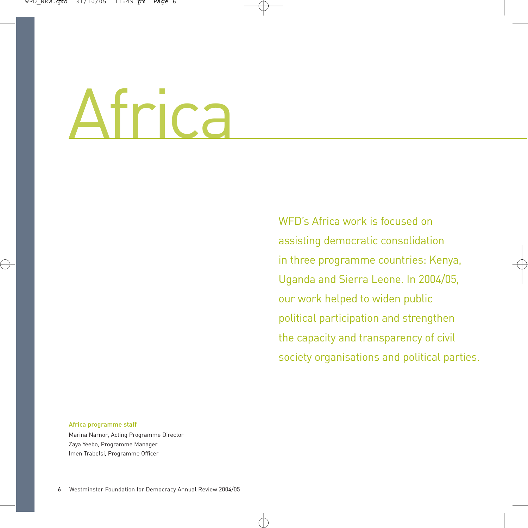# Africa

WED's Africa work is focused on assisting democratic consolidation in three programme countries: Kenya, Uganda and Sierra Leone. In 2004/05, our work helped to widen public political participation and strengthen the capacity and transparency of civil society organisations and political parties.

#### Africa programme staff Marina Narnor, Acting Programme Director Zaya Yeebo, Programme Manager Imen Trabelsi, Programme Officer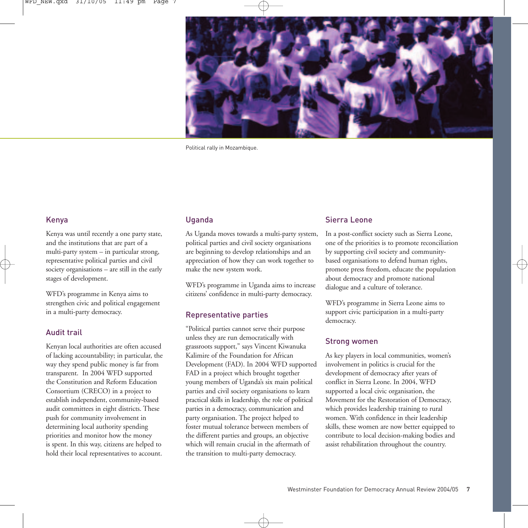

Political rally in Mozambique.

#### Kenya

Kenya was until recently a one party state, and the institutions that are part of a multi-party system – in particular strong, representative political parties and civil society organisations – are still in the early stages of development.

WFD's programme in Kenya aims to strengthen civic and political engagement in a multi-party democracy.

#### Audit trail

Kenyan local authorities are often accused of lacking accountability; in particular, the way they spend public money is far from transparent. In 2004 WFD supported the Constitution and Reform Education Consortium (CRECO) in a project to establish independent, community-based audit committees in eight districts. These push for community involvement in determining local authority spending priorities and monitor how the money is spent. In this way, citizens are helped to hold their local representatives to account.

#### Uganda

As Uganda moves towards a multi-party system, political parties and civil society organisations are beginning to develop relationships and an appreciation of how they can work together to make the new system work.

WFD's programme in Uganda aims to increase citizens' confidence in multi-party democracy.

#### Representative parties

"Political parties cannot serve their purpose unless they are run democratically with grassroots support," says Vincent Kiwanuka Kalimire of the Foundation for African Development (FAD). In 2004 WFD supported FAD in a project which brought together young members of Uganda's six main political parties and civil society organisations to learn practical skills in leadership, the role of political parties in a democracy, communication and party organisation. The project helped to foster mutual tolerance between members of the different parties and groups, an objective which will remain crucial in the aftermath of the transition to multi-party democracy.

#### Sierra Leone

In a post-conflict society such as Sierra Leone, one of the priorities is to promote reconciliation by supporting civil society and communitybased organisations to defend human rights, promote press freedom, educate the population about democracy and promote national dialogue and a culture of tolerance.

WFD's programme in Sierra Leone aims to support civic participation in a multi-party democracy.

#### Strong women

As key players in local communities, women's involvement in politics is crucial for the development of democracy after years of conflict in Sierra Leone. In 2004, WFD supported a local civic organisation, the Movement for the Restoration of Democracy, which provides leadership training to rural women. With confidence in their leadership skills, these women are now better equipped to contribute to local decision-making bodies and assist rehabilitation throughout the country.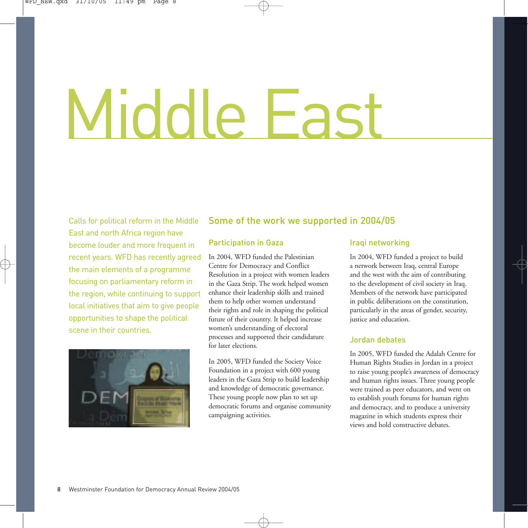# Middle Fas

Calls for political reform in the Middle East and north Africa region have become louder and more frequent in recent years. WFD has recently agreed the main elements of a programme focusing on parliamentary reform in the region, while continuing to support local initiatives that aim to give people opportunities to shape the political scene in their countries.



#### Some of the work we supported in 2004/05

#### Participation in Gaza

In 2004, WFD funded the Palestinian Centre for Democracy and Conflict Resolution in a project with women leaders in the Gaza Strip. The work helped women enhance their leadership skills and trained them to help other women understand their rights and role in shaping the political future of their country. It helped increase women's understanding of electoral processes and supported their candidature for later elections.

In 2005, WFD funded the Society Voice Foundation in a project with 600 young leaders in the Gaza Strip to build leadership and knowledge of democratic governance. These young people now plan to set up democratic forums and organise community campaigning activities.

#### Iraqi networking

In 2004, WFD funded a project to build a network between Iraq, central Europe and the west with the aim of contributing to the development of civil society in Iraq. Members of the network have participated in public deliberations on the constitution, particularly in the areas of gender, security, justice and education.

#### Jordan debates

In 2005, WFD funded the Adalah Centre for Human Rights Studies in Jordan in a project to raise young people's awareness of democracy and human rights issues. Three young people were trained as peer educators, and went on to establish youth forums for human rights and democracy, and to produce a university magazine in which students express their views and hold constructive debates.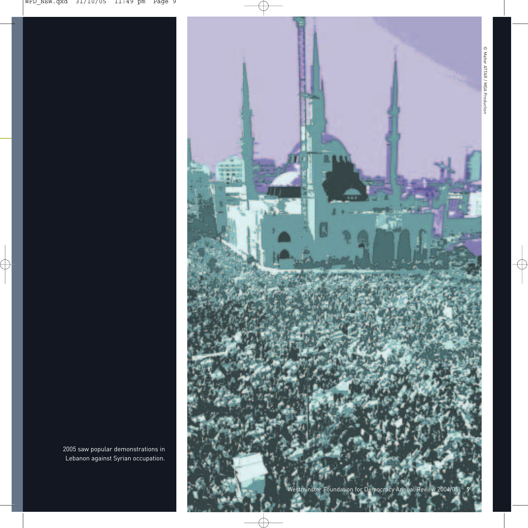

2005 saw popular demonstrations in Lebanon against Syrian occupation.

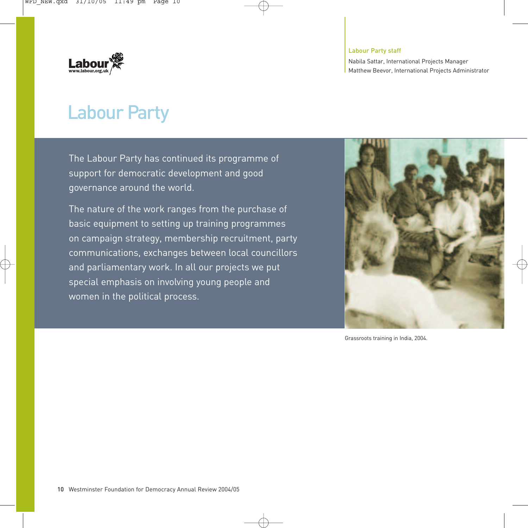

#### Labour Party staff

Nabila Sattar, International Projects Manager Matthew Beevor, International Projects Administrator

## Labour Party

The Labour Party has continued its programme of support for democratic development and good governance around the world.

The nature of the work ranges from the purchase of basic equipment to setting up training programmes on campaign strategy, membership recruitment, party communications, exchanges between local councillors and parliamentary work. In all our projects we put special emphasis on involving young people and women in the political process.



Grassroots training in India, 2004.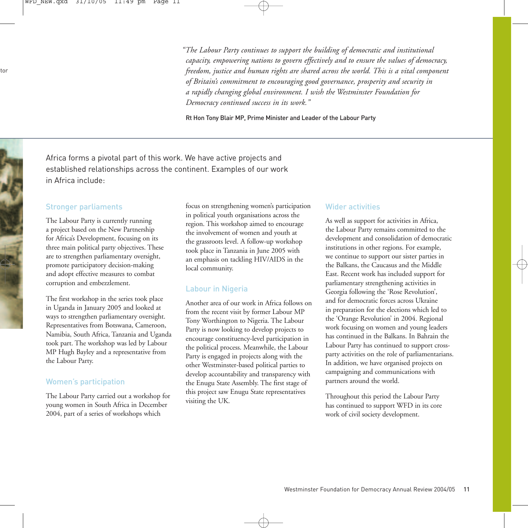*"The Labour Party continues to support the building of democratic and institutional capacity, empowering nations to govern effectively and to ensure the values of democracy, freedom, justice and human rights are shared across the world. This is a vital component of Britain's commitment to encouraging good governance, prosperity and security in a rapidly changing global environment. I wish the Westminster Foundation for Democracy continued success in its work."*

Rt Hon Tony Blair MP, Prime Minister and Leader of the Labour Party

Africa forms a pivotal part of this work. We have active projects and established relationships across the continent. Examples of our work in Africa include:

#### Stronger parliaments

The Labour Party is currently running a project based on the New Partnership for Africa's Development, focusing on its three main political party objectives. These are to strengthen parliamentary oversight, promote participatory decision-making and adopt effective measures to combat corruption and embezzlement.

The first workshop in the series took place in Uganda in January 2005 and looked at ways to strengthen parliamentary oversight. Representatives from Botswana, Cameroon, Namibia, South Africa, Tanzania and Uganda took part. The workshop was led by Labour MP Hugh Bayley and a representative from the Labour Party.

#### Women's participation

The Labour Party carried out a workshop for young women in South Africa in December 2004, part of a series of workshops which

focus on strengthening women's participation in political youth organisations across the region. This workshop aimed to encourage the involvement of women and youth at the grassroots level. A follow-up workshop took place in Tanzania in June 2005 with an emphasis on tackling HIV/AIDS in the local community.

#### Labour in Nigeria

Another area of our work in Africa follows on from the recent visit by former Labour MP Tony Worthington to Nigeria. The Labour Party is now looking to develop projects to encourage constituency-level participation in the political process. Meanwhile, the Labour Party is engaged in projects along with the other Westminster-based political parties to develop accountability and transparency with the Enugu State Assembly. The first stage of this project saw Enugu State representatives visiting the UK.

#### Wider activities

As well as support for activities in Africa, the Labour Party remains committed to the development and consolidation of democratic institutions in other regions. For example, we continue to support our sister parties in the Balkans, the Caucasus and the Middle East. Recent work has included support for parliamentary strengthening activities in Georgia following the 'Rose Revolution', and for democratic forces across Ukraine in preparation for the elections which led to the 'Orange Revolution' in 2004. Regional work focusing on women and young leaders has continued in the Balkans. In Bahrain the Labour Party has continued to support crossparty activities on the role of parliamentarians. In addition, we have organised projects on campaigning and communications with partners around the world.

Throughout this period the Labour Party has continued to support WFD in its core work of civil society development.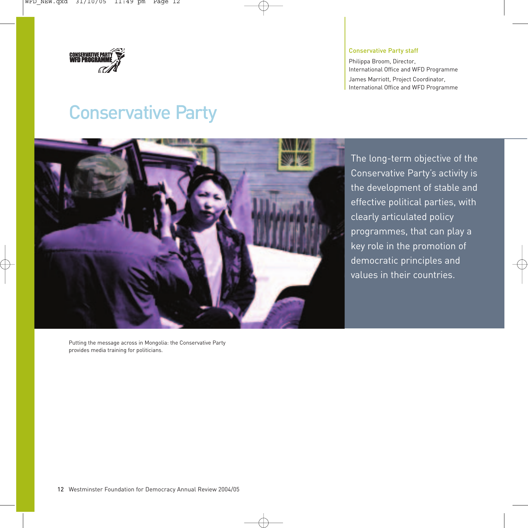

#### Conservative Party staff

Philippa Broom, Director, International Office and WFD Programme James Marriott, Project Coordinator, International Office and WFD Programme

## Conservative Party



The long-term objective of the Conservative Party's activity is the development of stable and effective political parties, with clearly articulated policy programmes, that can play a key role in the promotion of democratic principles and values in their countries.

Putting the message across in Mongolia: the Conservative Party provides media training for politicians.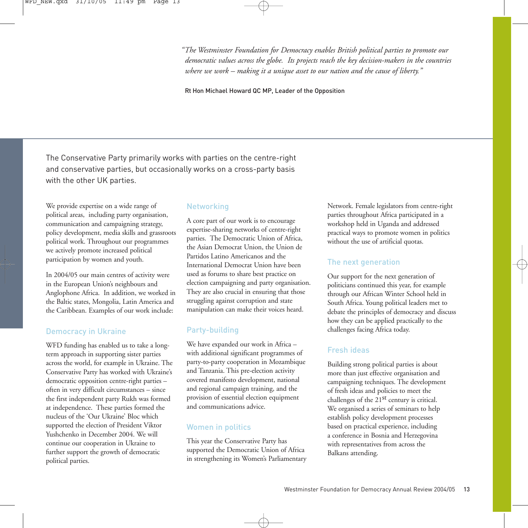*"The Westminster Foundation for Democracy enables British political parties to promote our democratic values across the globe. Its projects reach the key decision-makers in the countries where we work – making it a unique asset to our nation and the cause of liberty."*

Rt Hon Michael Howard QC MP, Leader of the Opposition

The Conservative Party primarily works with parties on the centre-right and conservative parties, but occasionally works on a cross-party basis with the other UK parties.

We provide expertise on a wide range of political areas, including party organisation, communication and campaigning strategy, policy development, media skills and grassroots political work. Throughout our programmes we actively promote increased political participation by women and youth.

In 2004/05 our main centres of activity were in the European Union's neighbours and Anglophone Africa. In addition, we worked in the Baltic states, Mongolia, Latin America and the Caribbean. Examples of our work include:

#### Democracy in Ukraine

WFD funding has enabled us to take a longterm approach in supporting sister parties across the world, for example in Ukraine. The Conservative Party has worked with Ukraine's democratic opposition centre-right parties – often in very difficult circumstances – since the first independent party Rukh was formed at independence. These parties formed the nucleus of the 'Our Ukraine' Bloc which supported the election of President Viktor Yushchenko in December 2004. We will continue our cooperation in Ukraine to further support the growth of democratic political parties.

#### **Networking**

A core part of our work is to encourage expertise-sharing networks of centre-right parties. The Democratic Union of Africa, the Asian Democrat Union, the Union de Partidos Latino Americanos and the International Democrat Union have been used as forums to share best practice on election campaigning and party organisation. They are also crucial in ensuring that those struggling against corruption and state manipulation can make their voices heard.

#### Party-building

We have expanded our work in Africa – with additional significant programmes of party-to-party cooperation in Mozambique and Tanzania. This pre-election activity covered manifesto development, national and regional campaign training, and the provision of essential election equipment and communications advice.

#### Women in politics

This year the Conservative Party has supported the Democratic Union of Africa in strengthening its Women's Parliamentary

Network. Female legislators from centre-right parties throughout Africa participated in a workshop held in Uganda and addressed practical ways to promote women in politics without the use of artificial quotas.

#### The next generation

Our support for the next generation of politicians continued this year, for example through our African Winter School held in South Africa. Young political leaders met to debate the principles of democracy and discuss how they can be applied practically to the challenges facing Africa today.

#### Fresh ideas

Building strong political parties is about more than just effective organisation and campaigning techniques. The development of fresh ideas and policies to meet the challenges of the 21<sup>st</sup> century is critical. We organised a series of seminars to help establish policy development processes based on practical experience, including a conference in Bosnia and Herzegovina with representatives from across the Balkans attending.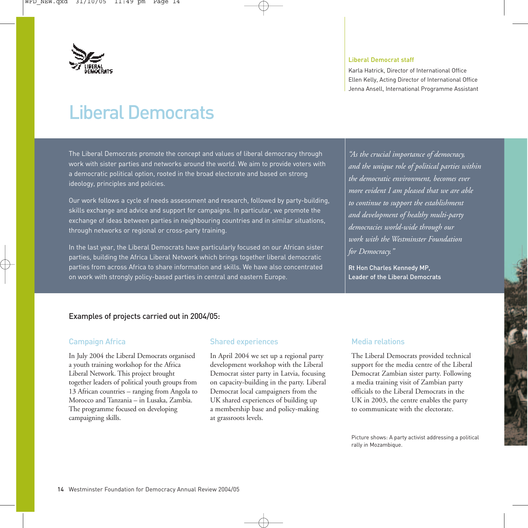

#### Liberal Democrat staff

Karla Hatrick, Director of International Office Ellen Kelly, Acting Director of International Office Jenna Ansell, International Programme Assistant

# Liberal Democrats

The Liberal Democrats promote the concept and values of liberal democracy through work with sister parties and networks around the world. We aim to provide voters with a democratic political option, rooted in the broad electorate and based on strong ideology, principles and policies.

Our work follows a cycle of needs assessment and research, followed by party-building, skills exchange and advice and support for campaigns. In particular, we promote the exchange of ideas between parties in neighbouring countries and in similar situations, through networks or regional or cross-party training.

In the last year, the Liberal Democrats have particularly focused on our African sister parties, building the Africa Liberal Network which brings together liberal democratic parties from across Africa to share information and skills. We have also concentrated on work with strongly policy-based parties in central and eastern Europe.

*"As the crucial importance of democracy, and the unique role of political parties within the democratic environment, becomes ever more evident I am pleased that we are able to continue to support the establishment and development of healthy multi-party democracies world-wide through our work with the Westminster Foundation for Democracy."* 

Rt Hon Charles Kennedy MP, Leader of the Liberal Democrats

#### Examples of projects carried out in 2004/05:

#### Campaign Africa

In July 2004 the Liberal Democrats organised a youth training workshop for the Africa Liberal Network. This project brought together leaders of political youth groups from 13 African countries – ranging from Angola to Morocco and Tanzania – in Lusaka, Zambia. The programme focused on developing campaigning skills.

#### Shared experiences

In April 2004 we set up a regional party development workshop with the Liberal Democrat sister party in Latvia, focusing on capacity-building in the party. Liberal Democrat local campaigners from the UK shared experiences of building up a membership base and policy-making at grassroots levels.

#### Media relations

The Liberal Democrats provided technical support for the media centre of the Liberal Democrat Zambian sister party. Following a media training visit of Zambian party officials to the Liberal Democrats in the UK in 2003, the centre enables the party to communicate with the electorate.

Picture shows: A party activist addressing a political rally in Mozambique.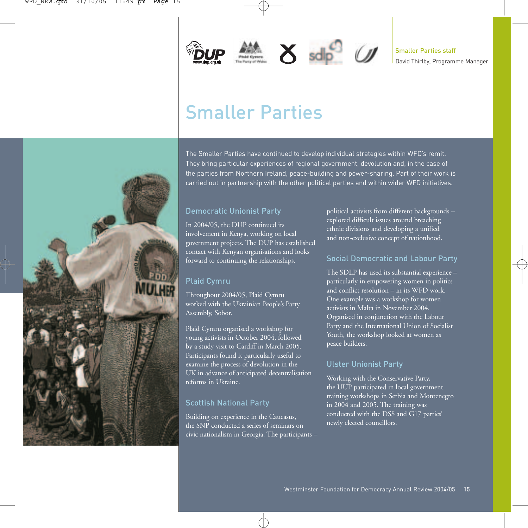





# Smaller Parties



#### Democratic Unionist Party

In 2004/05, the DUP continued its involvement in Kenya, working on local government projects. The DUP has established contact with Kenyan organisations and looks forward to continuing the relationships.

#### Plaid Cymru

Throughout 2004/05, Plaid Cymru worked with the Ukrainian People's Party Assembly, Sobor.

Plaid Cymru organised a workshop for young activists in October 2004, followed by a study visit to Cardiff in March 2005. Participants found it particularly useful to examine the process of devolution in the UK in advance of anticipated decentralisation reforms in Ukraine.

#### Scottish National Party

Building on experience in the Caucasus, the SNP conducted a series of seminars on civic nationalism in Georgia. The participants – political activists from different backgrounds – explored difficult issues around breaching ethnic divisions and developing a unified and non-exclusive concept of nationhood.

#### Social Democratic and Labour Party

The SDLP has used its substantial experience – particularly in empowering women in politics and conflict resolution – in its WFD work. One example was a workshop for women activists in Malta in November 2004. Organised in conjunction with the Labour Party and the International Union of Socialist Youth, the workshop looked at women as peace builders.

#### Ulster Unionist Party

Working with the Conservative Party, the UUP participated in local government training workshops in Serbia and Montenegro in 2004 and 2005. The training was conducted with the DSS and G17 parties' newly elected councillors.

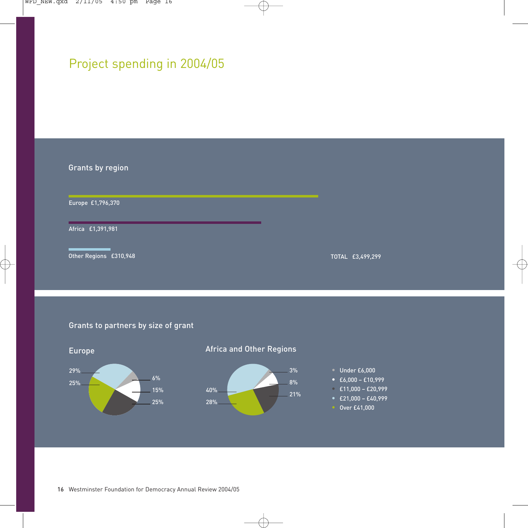### Project spending in 2004/05

Grants by region Europe £1,796,370

Africa £1,391,981

Other Regions £310,948

TOTAL £3,499,299

#### Grants to partners by size of grant

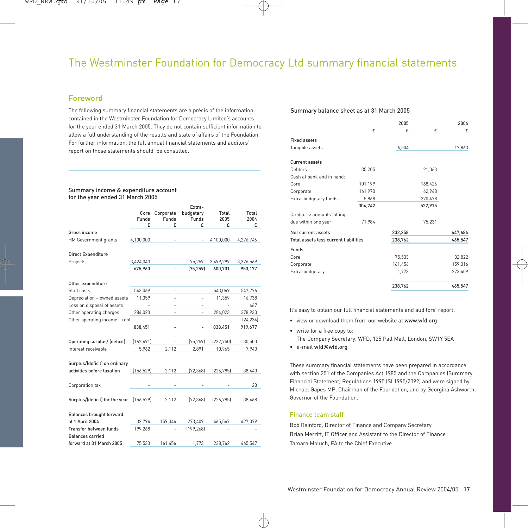#### The Westminster Foundation for Democracy Ltd summary financial statements

#### Foreword

The following summary financial statements are a précis of the information contained in the Westminster Foundation for Democracy Limited's accounts for the year ended 31 March 2005. They do not contain sufficient information to allow a full understanding of the results and state of affairs of the Foundation. For further information, the full annual financial statements and auditors' report on those statements should be consulted.

#### Summary income & expenditure account for the year ended 31 March 2005

|                                                             | Core<br>Funds<br>f | Corporate<br>Funds<br>£  | Extra-<br>budgetary<br>Funds<br>£ | Total<br>2005<br>£       | Total<br>2004<br>£ |
|-------------------------------------------------------------|--------------------|--------------------------|-----------------------------------|--------------------------|--------------------|
| Gross income                                                |                    |                          |                                   |                          |                    |
| HM Government grants                                        | 4,100,000          |                          |                                   | 4,100,000                | 4,276,746          |
| <b>Direct Expenditure</b>                                   |                    |                          |                                   |                          |                    |
| Projects                                                    | 3,424,040          |                          | 75,259                            | 3,499,299                | 3,326,569          |
|                                                             | 675,960            |                          | (75, 259)                         | 600,701                  | 950,177            |
| Other expenditure                                           |                    |                          |                                   |                          |                    |
| Staff costs                                                 | 543,069            | ٠                        | ÷,                                | 543,069                  | 547,776            |
| Depreciation - owned assets                                 | 11,359             |                          |                                   | 11,359                   | 16,738             |
| Loss on disposal of assets                                  |                    | $\overline{\phantom{a}}$ | ۰                                 | $\overline{\phantom{a}}$ | 467                |
| Other operating charges                                     | 284,023            |                          |                                   | 284,023                  | 378,930            |
| Other operating income - rent                               |                    | ä,                       | ٠                                 |                          | (24, 234)          |
|                                                             | 838,451            | ÷,                       | ٠                                 | 838,451                  | 919,677            |
| Operating surplus/ (deficit)                                | (162, 491)         |                          | (75, 259)                         | (237,750)                | 30,500             |
| Interest receivable                                         | 5,962              | 2,112                    | 2,891                             | 10,965                   | 7,940              |
| Surplus/(deficit) on ordinary<br>activities before taxation | (156, 529)         | 2,112                    | [72, 368]                         | [226, 785]               | 38,440             |
| Corporation tax                                             |                    |                          |                                   |                          | 28                 |
| Surplus/(deficit) for the year (156,529)                    |                    | 2,112                    | [72, 368]                         | [226, 785]               | 38,468             |
| <b>Balances brought forward</b><br>at 1 April 2004          | 32,794             | 159,344                  | 273,409                           | 465,547                  | 427,079            |
| Transfer between funds                                      | 199,268            |                          | [199, 268]                        |                          |                    |
| <b>Balances carried</b>                                     |                    |                          |                                   |                          |                    |
| forward at 31 March 2005                                    | 75,533             | 161,456                  | 1.773                             | 238,762                  | 465,547            |

#### Summary balance sheet as at 31 March 2005

|                                       |         | 2005    |         | 2004    |
|---------------------------------------|---------|---------|---------|---------|
|                                       | £       | £       | £       | £       |
| <b>Fixed assets</b>                   |         |         |         |         |
| Tangible assets                       |         | 6,504   |         | 17,863  |
| Current assets                        |         |         |         |         |
| Debtors                               | 35.205  |         | 21,063  |         |
| Cash at bank and in hand:             |         |         |         |         |
| Core                                  | 101,199 |         | 168,426 |         |
| Corporate                             | 161,970 |         | 62.948  |         |
| Extra-budgetary funds                 | 5,868   |         | 270,478 |         |
|                                       | 304,242 |         | 522,915 |         |
| Creditors: amounts falling            |         |         |         |         |
| due within one year                   | 71,984  |         | 75,231  |         |
| Net current assets                    |         | 232,258 |         | 447,684 |
| Total assets less current liabilities |         | 238,762 |         | 465,547 |
| Funds                                 |         |         |         |         |
| Core                                  |         | 75.533  |         | 32,822  |
| Corporate                             |         | 161,456 |         | 159,316 |
| Extra-budgetary                       |         | 1,773   |         | 273,409 |
|                                       |         | 238,762 |         | 465,547 |

It's easy to obtain our full financial statements and auditors' report:

- view or download them from our website at www.wfd.org
- write for a free copy to: The Company Secretary, WFD, 125 Pall Mall, London, SW1Y 5EA
- e-mail wfd**@**wfd.org

These summary financial statements have been prepared in accordance with section 251 of the Companies Act 1985 and the Companies (Summary Financial Statement) Regulations 1995 (SI 1995/2092) and were signed by Michael Gapes MP, Chairman of the Foundation, and by Georgina Ashworth, Governor of the Foundation.

#### Finance team staff

Bob Rainford, Director of Finance and Company Secretary Brian Merritt, IT Officer and Assistant to the Director of Finance Tamara Moluch, PA to the Chief Executive